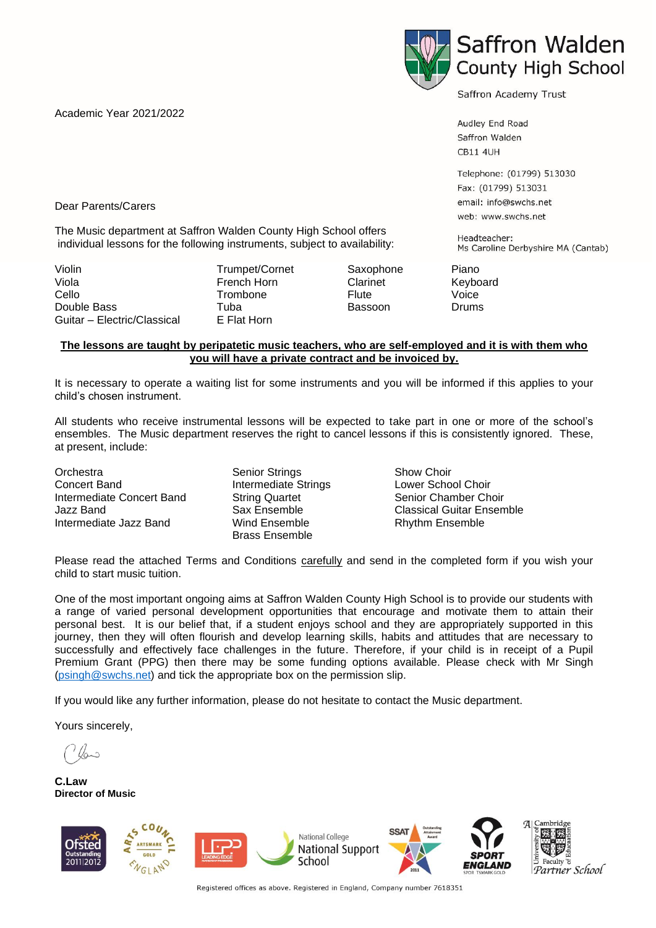Academic Year 2021/2022



Saffron Academy Trust

Audley End Road Saffron Walden **CB11 4UH** 

Telephone: (01799) 513030 Fax: (01799) 513031 email: info@swchs.net web: www.swchs.net

Headteacher: Ms Caroline Derbyshire MA (Cantab)

Dear Parents/Carers

The Music department at Saffron Walden County High School offers individual lessons for the following instruments, subject to availability:

Violin **Trumpet/Cornet Saxophone** Piano Viola **French Horn** Clarinet Keyboard Clarinet Cello Trombone Flute Voice Double Bass Tuba Bassoon Drums Guitar – Electric/Classical

## **The lessons are taught by peripatetic music teachers, who are self-employed and it is with them who you will have a private contract and be invoiced by.**

It is necessary to operate a waiting list for some instruments and you will be informed if this applies to your child's chosen instrument.

All students who receive instrumental lessons will be expected to take part in one or more of the school's ensembles. The Music department reserves the right to cancel lessons if this is consistently ignored. These, at present, include:

**Orchestra** Concert Band Intermediate Concert Band Jazz Band Intermediate Jazz Band

Senior Strings Intermediate Strings String Quartet Sax Ensemble Wind Ensemble Brass Ensemble

Show Choir Lower School Choir Senior Chamber Choir Classical Guitar Ensemble Rhythm Ensemble

Please read the attached Terms and Conditions carefully and send in the completed form if you wish your child to start music tuition.

One of the most important ongoing aims at Saffron Walden County High School is to provide our students with a range of varied personal development opportunities that encourage and motivate them to attain their personal best. It is our belief that, if a student enjoys school and they are appropriately supported in this journey, then they will often flourish and develop learning skills, habits and attitudes that are necessary to successfully and effectively face challenges in the future. Therefore, if your child is in receipt of a Pupil Premium Grant (PPG) then there may be some funding options available. Please check with Mr Singh [\(psingh@swchs.net\)](mailto:psingh@swchs.net) and tick the appropriate box on the permission slip.

If you would like any further information, please do not hesitate to contact the Music department.

Yours sincerely,

**C.Law Director of Music**



Registered offices as above. Registered in England, Company number 7618351